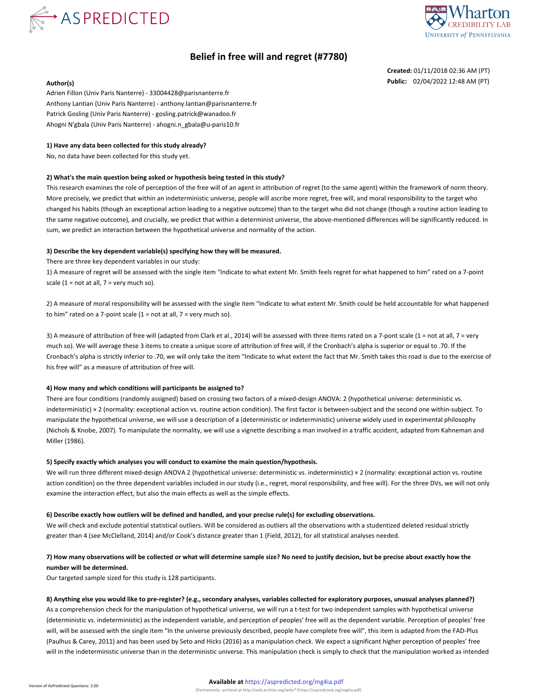



# **Belief in free will and regret (#7780)**

**Created:** 01/11/2018 02:36 AM (PT) **Author(s) Public:** 02/04/2022 12:48 AM (PT)

Adrien Fillon (Univ Paris Nanterre) - 33004428@parisnanterre.fr Anthony Lantian (Univ Paris Nanterre) - anthony.lantian@parisnanterre.fr Patrick Gosling (Univ Paris Nanterre) - gosling.patrick@wanadoo.fr Ahogni N'gbala (Univ Paris Nanterre) - ahogni.n\_gbala@u-paris10.fr

### **1) Have any data been collected for this study already?**

No, no data have been collected for this study yet.

#### **2) What's the main question being asked or hypothesis being tested in this study?**

This research examines the role of perception of the free will of an agent in attribution of regret (to the same agent) within the framework of norm theory. More precisely, we predict that within an indeterministic universe, people will ascribe more regret, free will, and moral responsibility to the target who changed his habits (though an exceptional action leading to a negative outcome) than to the target who did not change (though a routine action leading to the same negative outcome), and crucially, we predict that within a determinist universe, the above-mentioned differences will be significantly reduced. In sum, we predict an interaction between the hypothetical universe and normality of the action.

### **3) Describe the key dependent variable(s) specifying how they will be measured.**

There are three key dependent variables in our study:

1) A measure of regret will be assessed with the single item "Indicate to what extent Mr. Smith feels regret for what happened to him" rated on a 7-point scale  $(1 = not at all, 7 = very much so).$ 

2) A measure of moral responsibility will be assessed with the single item "Indicate to what extent Mr. Smith could be held accountable for what happened to him" rated on a 7-point scale  $(1 = not at all, 7 = very much so).$ 

3) A measure of attribution of free will (adapted from Clark et al., 2014) will be assessed with three items rated on a 7-pont scale (1 = not at all, 7 = very much so). We will average these 3 items to create a unique score of attribution of free will, if the Cronbach's alpha is superior or equal to .70. If the Cronbach's alpha is strictly inferior to .70, we will only take the item "Indicate to what extent the fact that Mr. Smith takes this road is due to the exercise of his free will" as a measure of attribution of free will.

#### **4) How many and which conditions will participants be assigned to?**

There are four conditions (randomly assigned) based on crossing two factors of a mixed-design ANOVA: 2 (hypothetical universe: deterministic vs. indeterministic) × 2 (normality: exceptional action vs. routine action condition). The first factor is between-subject and the second one within-subject. To manipulate the hypothetical universe, we will use a description of a (deterministic or indeterministic) universe widely used in experimental philosophy (Nichols & Knobe, 2007). To manipulate the normality, we will use a vignette describing a man involved in a traffic accident, adapted from Kahneman and Miller (1986).

#### **5) Specify exactly which analyses you will conduct to examine the main question/hypothesis.**

We will run three different mixed-design ANOVA 2 (hypothetical universe: deterministic vs. indeterministic) × 2 (normality: exceptional action vs. routine action condition) on the three dependent variables included in our study (i.e., regret, moral responsibility, and free will). For the three DVs, we will not only examine the interaction effect, but also the main effects as well as the simple effects.

#### **6) Describe exactly how outliers will be defined and handled, and your precise rule(s) for excluding observations.**

We will check and exclude potential statistical outliers. Will be considered as outliers all the observations with a studentized deleted residual strictly greater than 4 (see McClelland, 2014) and/or Cook's distance greater than 1 (Field, 2012), for all statistical analyses needed.

## **7) How many observations will be collected or what will determine sample size? No need to justify decision, but be precise about exactly how the number will be determined.**

Our targeted sample sized for this study is 128 participants.

### **8) Anything else you would like to pre-register? (e.g., secondary analyses, variables collected for exploratory purposes, unusual analyses planned?)**

As a comprehension check for the manipulation of hypothetical universe, we will run a t-test for two independent samples with hypothetical universe (deterministic vs. indeterministic) as the independent variable, and perception of peoples' free will as the dependent variable. Perception of peoples' free will, will be assessed with the single item "In the universe previously described, people have complete free will", this item is adapted from the FAD-Plus (Paulhus & Carey, 2011) and has been used by Seto and Hicks (2016) as a manipulation check. We expect a significant higher perception of peoples' free will in the indeterministic universe than in the deterministic universe. This manipulation check is simply to check that the manipulation worked as intended